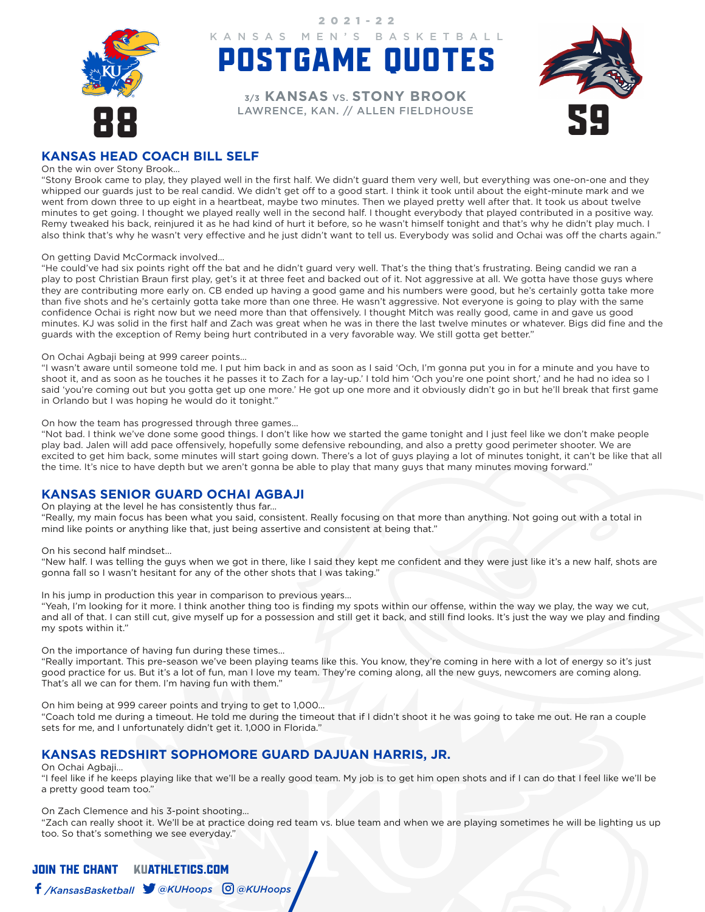

POSTGAME QUOTES KANSAS MEN'S BASKETBALL

2021-22

EXPORT DROOK **3/3 KANSAS** VS. **STONY BROOK**



# **KANSAS HEAD COACH BILL SELF**

### On the win over Stony Brook…

"Stony Brook came to play, they played well in the first half. We didn't guard them very well, but everything was one-on-one and they whipped our guards just to be real candid. We didn't get off to a good start. I think it took until about the eight-minute mark and we went from down three to up eight in a heartbeat, maybe two minutes. Then we played pretty well after that. It took us about twelve minutes to get going. I thought we played really well in the second half. I thought everybody that played contributed in a positive way. Remy tweaked his back, reinjured it as he had kind of hurt it before, so he wasn't himself tonight and that's why he didn't play much. I also think that's why he wasn't very effective and he just didn't want to tell us. Everybody was solid and Ochai was off the charts again."

### On getting David McCormack involved…

"He could've had six points right off the bat and he didn't guard very well. That's the thing that's frustrating. Being candid we ran a play to post Christian Braun first play, get's it at three feet and backed out of it. Not aggressive at all. We gotta have those guys where they are contributing more early on. CB ended up having a good game and his numbers were good, but he's certainly gotta take more than five shots and he's certainly gotta take more than one three. He wasn't aggressive. Not everyone is going to play with the same confidence Ochai is right now but we need more than that offensively. I thought Mitch was really good, came in and gave us good minutes. KJ was solid in the first half and Zach was great when he was in there the last twelve minutes or whatever. Bigs did fine and the guards with the exception of Remy being hurt contributed in a very favorable way. We still gotta get better."

### On Ochai Agbaji being at 999 career points…

"I wasn't aware until someone told me. I put him back in and as soon as I said 'Och, I'm gonna put you in for a minute and you have to shoot it, and as soon as he touches it he passes it to Zach for a lay-up.' I told him 'Och you're one point short,' and he had no idea so I said 'you're coming out but you gotta get up one more.' He got up one more and it obviously didn't go in but he'll break that first game in Orlando but I was hoping he would do it tonight."

### On how the team has progressed through three games…

"Not bad. I think we've done some good things. I don't like how we started the game tonight and I just feel like we don't make people play bad. Jalen will add pace offensively, hopefully some defensive rebounding, and also a pretty good perimeter shooter. We are excited to get him back, some minutes will start going down. There's a lot of guys playing a lot of minutes tonight, it can't be like that all the time. It's nice to have depth but we aren't gonna be able to play that many guys that many minutes moving forward."

### **KANSAS SENIOR GUARD OCHAI AGBAJI**

### On playing at the level he has consistently thus far…

"Really, my main focus has been what you said, consistent. Really focusing on that more than anything. Not going out with a total in mind like points or anything like that, just being assertive and consistent at being that."

On his second half mindset…

"New half. I was telling the guys when we got in there, like I said they kept me confident and they were just like it's a new half, shots are gonna fall so I wasn't hesitant for any of the other shots that I was taking."

In his jump in production this year in comparison to previous years…

"Yeah, I'm looking for it more. I think another thing too is finding my spots within our offense, within the way we play, the way we cut, and all of that. I can still cut, give myself up for a possession and still get it back, and still find looks. It's just the way we play and finding my spots within it."

On the importance of having fun during these times…

"Really important. This pre-season we've been playing teams like this. You know, they're coming in here with a lot of energy so it's just good practice for us. But it's a lot of fun, man I love my team. They're coming along, all the new guys, newcomers are coming along. That's all we can for them. I'm having fun with them."

On him being at 999 career points and trying to get to 1,000…

"Coach told me during a timeout. He told me during the timeout that if I didn't shoot it he was going to take me out. He ran a couple sets for me, and I unfortunately didn't get it. 1,000 in Florida."

### **KANSAS REDSHIRT SOPHOMORE GUARD DAJUAN HARRIS, JR.**

### On Ochai Agbaji…

"I feel like if he keeps playing like that we'll be a really good team. My job is to get him open shots and if I can do that I feel like we'll be a pretty good team too."

On Zach Clemence and his 3-point shooting…

"Zach can really shoot it. We'll be at practice doing red team vs. blue team and when we are playing sometimes he will be lighting us up too. So that's something we see everyday."

# JOIN THE CHANTKUATHLETICS.COM

## */KansasBasketball @KUHoops @KUHoops*